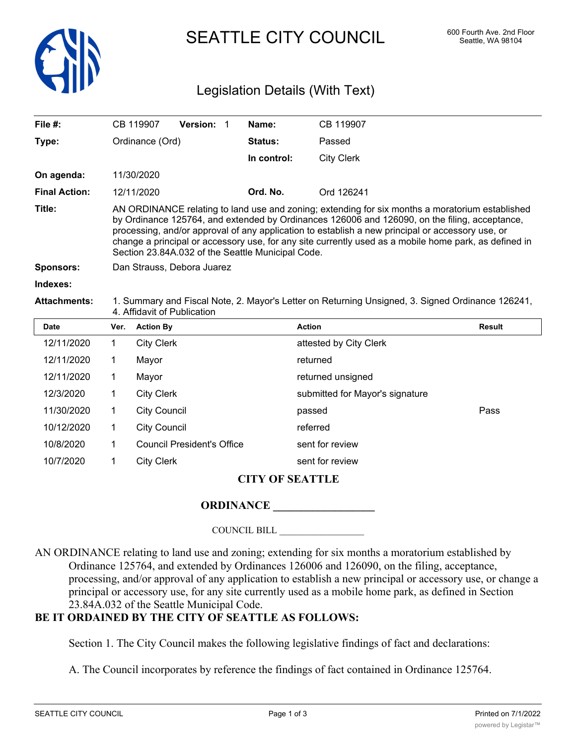

SEATTLE CITY COUNCIL 600 Fourth Ave. 2nd Floor

# Legislation Details (With Text)

| File $#$ :           |                                                                                                                                 | CB 119907                                                                                                                                                                                                                                                                                                                                                                                                                                                          | Version: 1 |  | Name:                           | CB 119907              |               |  |
|----------------------|---------------------------------------------------------------------------------------------------------------------------------|--------------------------------------------------------------------------------------------------------------------------------------------------------------------------------------------------------------------------------------------------------------------------------------------------------------------------------------------------------------------------------------------------------------------------------------------------------------------|------------|--|---------------------------------|------------------------|---------------|--|
| Type:                |                                                                                                                                 | Ordinance (Ord)                                                                                                                                                                                                                                                                                                                                                                                                                                                    |            |  | Status:                         | Passed                 |               |  |
|                      |                                                                                                                                 |                                                                                                                                                                                                                                                                                                                                                                                                                                                                    |            |  | In control:                     | <b>City Clerk</b>      |               |  |
| On agenda:           |                                                                                                                                 | 11/30/2020                                                                                                                                                                                                                                                                                                                                                                                                                                                         |            |  |                                 |                        |               |  |
| <b>Final Action:</b> |                                                                                                                                 | 12/11/2020                                                                                                                                                                                                                                                                                                                                                                                                                                                         |            |  | Ord. No.                        | Ord 126241             |               |  |
| Title:               |                                                                                                                                 | AN ORDINANCE relating to land use and zoning; extending for six months a moratorium established<br>by Ordinance 125764, and extended by Ordinances 126006 and 126090, on the filing, acceptance,<br>processing, and/or approval of any application to establish a new principal or accessory use, or<br>change a principal or accessory use, for any site currently used as a mobile home park, as defined in<br>Section 23.84A.032 of the Seattle Municipal Code. |            |  |                                 |                        |               |  |
| <b>Sponsors:</b>     |                                                                                                                                 | Dan Strauss, Debora Juarez                                                                                                                                                                                                                                                                                                                                                                                                                                         |            |  |                                 |                        |               |  |
| Indexes:             |                                                                                                                                 |                                                                                                                                                                                                                                                                                                                                                                                                                                                                    |            |  |                                 |                        |               |  |
| <b>Attachments:</b>  | 1. Summary and Fiscal Note, 2. Mayor's Letter on Returning Unsigned, 3. Signed Ordinance 126241,<br>4. Affidavit of Publication |                                                                                                                                                                                                                                                                                                                                                                                                                                                                    |            |  |                                 |                        |               |  |
| <b>Date</b>          | Ver.                                                                                                                            | <b>Action By</b>                                                                                                                                                                                                                                                                                                                                                                                                                                                   |            |  |                                 | <b>Action</b>          | <b>Result</b> |  |
| 12/11/2020           | 1                                                                                                                               | <b>City Clerk</b>                                                                                                                                                                                                                                                                                                                                                                                                                                                  |            |  |                                 | attested by City Clerk |               |  |
| 12/11/2020           | 1                                                                                                                               | Mayor                                                                                                                                                                                                                                                                                                                                                                                                                                                              |            |  |                                 | returned               |               |  |
| 12/11/2020           | 1                                                                                                                               | Mayor                                                                                                                                                                                                                                                                                                                                                                                                                                                              |            |  | returned unsigned               |                        |               |  |
| 12/3/2020            | 1                                                                                                                               | <b>City Clerk</b>                                                                                                                                                                                                                                                                                                                                                                                                                                                  |            |  | submitted for Mayor's signature |                        |               |  |
| 11/30/2020           | 1                                                                                                                               | <b>City Council</b>                                                                                                                                                                                                                                                                                                                                                                                                                                                |            |  |                                 | passed                 | Pass          |  |
| 10/12/2020           | 1                                                                                                                               | <b>City Council</b>                                                                                                                                                                                                                                                                                                                                                                                                                                                |            |  |                                 | referred               |               |  |
| 10/8/2020            | 1                                                                                                                               | <b>Council President's Office</b>                                                                                                                                                                                                                                                                                                                                                                                                                                  |            |  |                                 | sent for review        |               |  |
| 10/7/2020            | 1                                                                                                                               | <b>City Clerk</b>                                                                                                                                                                                                                                                                                                                                                                                                                                                  |            |  |                                 | sent for review        |               |  |

# **CITY OF SEATTLE**

### **ORDINANCE**

### COUNCIL BILL \_\_\_\_\_\_\_\_\_\_\_\_\_\_\_\_\_\_

AN ORDINANCE relating to land use and zoning; extending for six months a moratorium established by Ordinance 125764, and extended by Ordinances 126006 and 126090, on the filing, acceptance, processing, and/or approval of any application to establish a new principal or accessory use, or change a principal or accessory use, for any site currently used as a mobile home park, as defined in Section 23.84A.032 of the Seattle Municipal Code.

# **BE IT ORDAINED BY THE CITY OF SEATTLE AS FOLLOWS:**

Section 1. The City Council makes the following legislative findings of fact and declarations:

A. The Council incorporates by reference the findings of fact contained in Ordinance 125764.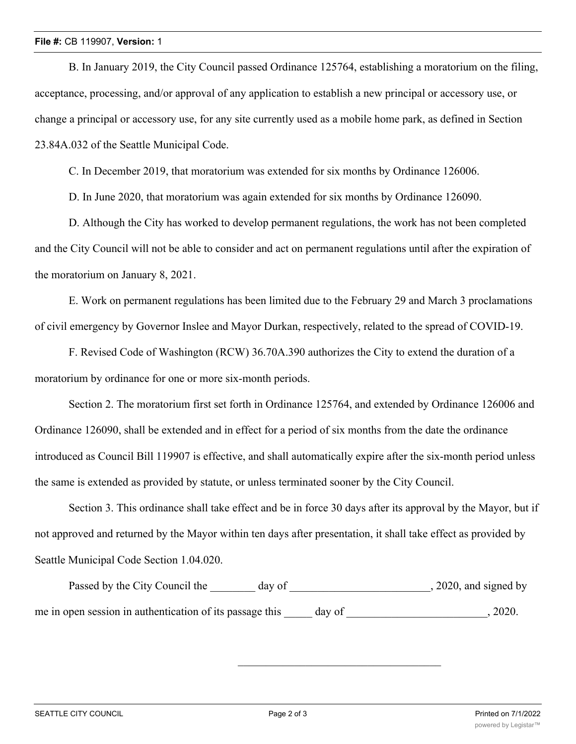#### **File #:** CB 119907, **Version:** 1

B. In January 2019, the City Council passed Ordinance 125764, establishing a moratorium on the filing, acceptance, processing, and/or approval of any application to establish a new principal or accessory use, or change a principal or accessory use, for any site currently used as a mobile home park, as defined in Section 23.84A.032 of the Seattle Municipal Code.

C. In December 2019, that moratorium was extended for six months by Ordinance 126006.

D. In June 2020, that moratorium was again extended for six months by Ordinance 126090.

D. Although the City has worked to develop permanent regulations, the work has not been completed and the City Council will not be able to consider and act on permanent regulations until after the expiration of the moratorium on January 8, 2021.

E. Work on permanent regulations has been limited due to the February 29 and March 3 proclamations of civil emergency by Governor Inslee and Mayor Durkan, respectively, related to the spread of COVID-19.

F. Revised Code of Washington (RCW) 36.70A.390 authorizes the City to extend the duration of a moratorium by ordinance for one or more six-month periods.

Section 2. The moratorium first set forth in Ordinance 125764, and extended by Ordinance 126006 and Ordinance 126090, shall be extended and in effect for a period of six months from the date the ordinance introduced as Council Bill 119907 is effective, and shall automatically expire after the six-month period unless the same is extended as provided by statute, or unless terminated sooner by the City Council.

Section 3. This ordinance shall take effect and be in force 30 days after its approval by the Mayor, but if not approved and returned by the Mayor within ten days after presentation, it shall take effect as provided by Seattle Municipal Code Section 1.04.020.

Passed by the City Council the \_\_\_\_\_\_\_ day of \_\_\_\_\_\_\_\_\_\_\_\_\_\_\_\_\_\_\_\_\_\_\_, 2020, and signed by me in open session in authentication of its passage this day of  $\qquad \qquad$ , 2020.